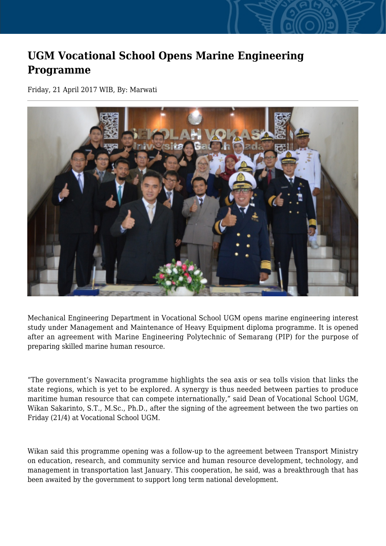## **UGM Vocational School Opens Marine Engineering Programme**

Friday, 21 April 2017 WIB, By: Marwati



Mechanical Engineering Department in Vocational School UGM opens marine engineering interest study under Management and Maintenance of Heavy Equipment diploma programme. It is opened after an agreement with Marine Engineering Polytechnic of Semarang (PIP) for the purpose of preparing skilled marine human resource.

"The government's Nawacita programme highlights the sea axis or sea tolls vision that links the state regions, which is yet to be explored. A synergy is thus needed between parties to produce maritime human resource that can compete internationally," said Dean of Vocational School UGM, Wikan Sakarinto, S.T., M.Sc., Ph.D., after the signing of the agreement between the two parties on Friday (21/4) at Vocational School UGM.

Wikan said this programme opening was a follow-up to the agreement between Transport Ministry on education, research, and community service and human resource development, technology, and management in transportation last January. This cooperation, he said, was a breakthrough that has been awaited by the government to support long term national development.